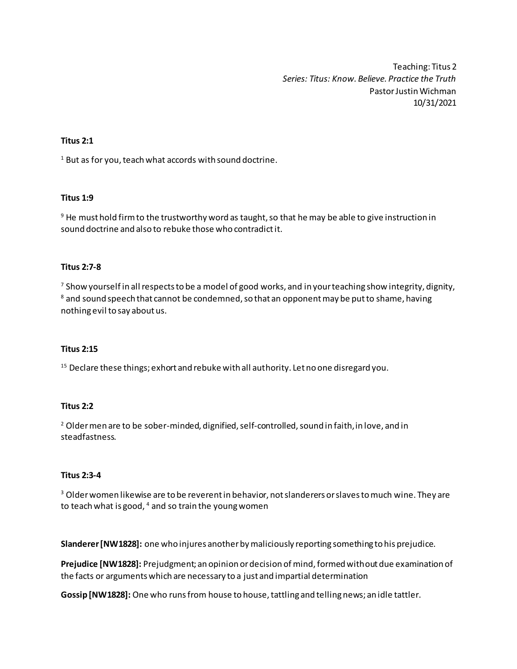Teaching: Titus 2 *Series: Titus: Know. Believe. Practice the Truth* Pastor Justin Wichman 10/31/2021

# **Titus 2:1**

 $1$  But as for you, teach what accords with sound doctrine.

# **Titus 1:9**

<sup>9</sup> He must hold firm to the trustworthy word as taught, so that he may be able to give instruction in sound doctrine and also to rebuke those who contradict it.

# **Titus 2:7-8**

<sup>7</sup> Show yourself in all respects to be a model of good works, and in your teaching show integrity, dignity,  $8$  and sound speech that cannot be condemned, so that an opponent may be put to shame, having nothing evil to say about us.

# **Titus 2:15**

 $15$  Declare these things; exhort and rebuke with all authority. Let no one disregard you.

# **Titus 2:2**

<sup>2</sup> Older men are to be sober-minded, dignified, self-controlled, sound in faith, in love, and in steadfastness.

# **Titus 2:3-4**

<sup>3</sup> Older women likewise are to be reverent in behavior, not slanderers or slaves to much wine. They are to teach what is good,  $4$  and so train the young women

**Slanderer[NW1828]:** one who injures another by maliciously reporting something to his prejudice.

**Prejudice [NW1828]:** Prejudgment; an opinion or decision of mind, formed without due examination of the facts or arguments which are necessary to a just and impartial determination

**Gossip[NW1828]:** One who runs from house to house, tattling and telling news; an idle tattler.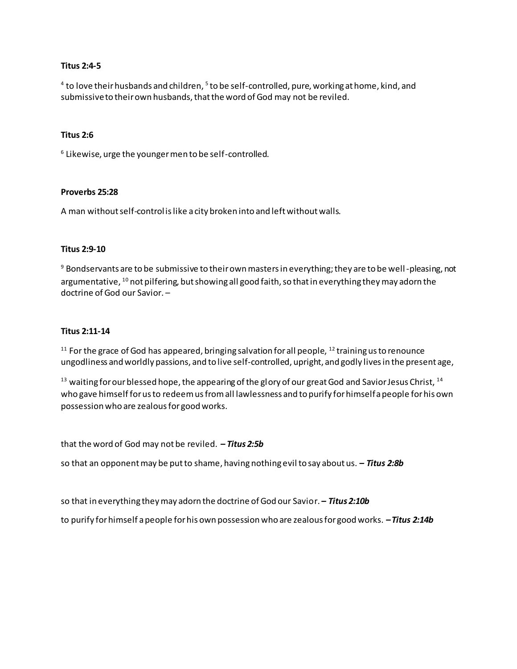#### **Titus 2:4-5**

<sup>4</sup> to love their husbands and children, <sup>5</sup> to be self-controlled, pure, working at home, kind, and submissive to their own husbands, that the word of God may not be reviled.

#### **Titus 2:6**

6 Likewise, urge the younger men to be self-controlled.

#### **Proverbs 25:28**

A man without self-control is like a city broken into and left without walls.

# **Titus 2:9-10**

<sup>9</sup> Bondservants are to be submissive to their own masters in everything; they are to be well-pleasing, not argumentative, <sup>10</sup> not pilfering, but showing all good faith, so that in everything they may adorn the doctrine of God our Savior. –

#### **Titus 2:11-14**

 $11$  For the grace of God has appeared, bringing salvation for all people,  $12$  training us to renounce ungodliness and worldly passions, and to live self-controlled, upright, and godly lives in the present age,

<sup>13</sup> waiting for our blessed hope, the appearing of the glory of our great God and Savior Jesus Christ, <sup>14</sup> who gave himself for us to redeem us from all lawlessness and to purify for himself a people for his own possession who are zealous for good works.

that the word of God may not be reviled.*– Titus 2:5b*

so that an opponent may be put to shame, having nothing evil to say about us. *– Titus 2:8b*

so that in everything they may adorn the doctrine of God our Savior. *– Titus 2:10b*

to purify for himself a people for his own possession who are zealous for good works. *–Titus 2:14b*